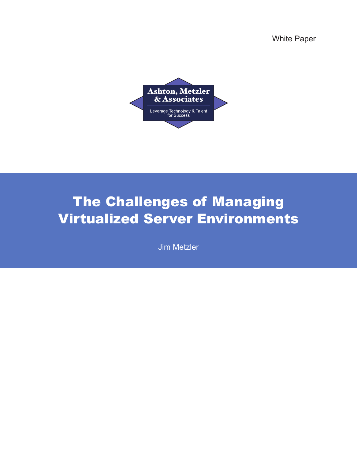White Paper



# The Challenges of Managing Virtualized Server Environments

Jim Metzler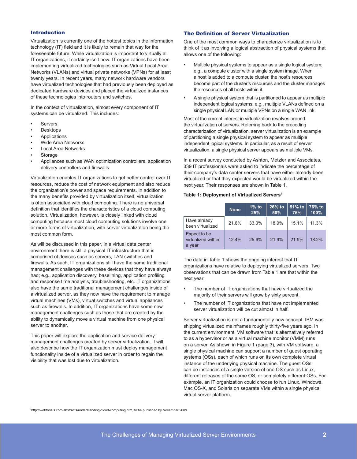## Introduction

Virtualization is currently one of the hottest topics in the information technology (IT) field and it is likely to remain that way for the foreseeable future. While virtualization is important to virtually all IT organizations, it certainly isn't new. IT organizations have been implementing virtualized technologies such as Virtual Local Area Networks (VLANs) and virtual private networks (VPNs) for at least twenty years. In recent years, many network hardware vendors have virtualized technologies that had previously been deployed as dedicated hardware devices and placed the virtualized instances of these technologies into routers and switches.

In the context of virtualization, almost every component of IT systems can be virtualized. This includes:

- **Servers**
- **Desktops**
- **Applications**
- Wide Area Networks
- Local Area Networks
- **Storage**
- Appliances such as WAN optimization controllers, application delivery controllers and firewalls

Virtualization enables IT organizations to get better control over IT resources, reduce the cost of network equipment and also reduce the organization's power and space requirements. In addition to the many benefits provided by virtualization itself, virtualization is often associated with cloud computing. There is no universal definition that identifies the characteristics of a cloud computing solution. Virtualization, however, is closely linked with cloud computing because most cloud computing solutions involve one or more forms of virtualization, with server virtualization being the most common form.

As will be discussed in this paper, in a virtual data center environment there is still a physical IT infrastructure that is comprised of devices such as servers, LAN switches and firewalls. As such, IT organizations still have the same traditional management challenges with these devices that they have always had; e.g., application discovery, baselining, application profiling and response time analysis, troubleshooting, etc. IT organizations also have the same traditional management challenges inside of a virtualized server, as they now have the requirement to manage virtual machines (VMs), virtual switches and virtual appliances such as firewalls. In addition, IT organizations have some new management challenges such as those that are created by the ability to dynamically move a virtual machine from one physical server to another.

This paper will explore the application and service delivery management challenges created by server virtualization. It will also describe how the IT organization must deploy management functionality inside of a virtualized server in order to regain the visibility that was lost due to virtualization.

# The Definition of Server Virtualization

One of the most common ways to characterize virtualization is to think of it as involving a logical abstraction of physical systems that allows one of the following:

- Multiple physical systems to appear as a single logical system; e.g., a compute cluster with a single system image. When a host is added to a compute cluster, the host's resources become part of the cluster's resources and the cluster manages the resources of all hosts within it.
- A single physical system that is partitioned to appear as multiple independent logical systems; e.g., multiple VLANs defined on a single physical LAN or multiple VPNs on a single WAN link.

Most of the current interest in virtualization revolves around the virtualization of servers. Referring back to the preceding characterization of virtualization, server virtualization is an example of partitioning a single physical system to appear as multiple independent logical systems. In particular, as a result of server virtualization, a single physical server appears as multiple VMs.

In a recent survey conducted by Ashton, Metzler and Associates, 339 IT professionals were asked to indicate the percentage of their company's data center servers that have either already been virtualized or that they expected would be virtualized within the next year. Their responses are shown in Table 1.

## **Table 1: Deployment of Virtualized Servers**<sup>1</sup>

|                                              | <b>None</b> | $1\%$ to<br>25% | 26% to<br>50% | $51\%$ to<br>75% | 76% to<br>100% |
|----------------------------------------------|-------------|-----------------|---------------|------------------|----------------|
| Have already<br>been virtualized             | 21.6%       | 33.0%           | 18.9%         | 15.1%            | 11.3%          |
| Expect to be<br>virtualized within<br>a year | 124%        | 25.6%           | 21.9%         | 21.9%            | 18 2%          |

The data in Table 1 shows the ongoing interest that IT organizations have relative to deploying virtualized servers. Two observations that can be drawn from Table 1 are that within the next year:

- The number of IT organizations that have virtualized the majority of their servers will grow by sixty percent.
- The number of IT organizations that have not implemented server virtualization will be cut almost in half.

Server virtualization is not a fundamentally new concept. IBM was shipping virtualized mainframes roughly thirty-five years ago. In the current environment, VM software that is alternatively referred to as a hypervisor or as a virtual machine monitor (VMM) runs on a server. As shown in Figure 1 (page 3), with VM software, a single physical machine can support a number of guest operating systems (OSs), each of which runs on its own complete virtual instance of the underlying physical machine. The guest OSs can be instances of a single version of one OS such as Linux, different releases of the same OS, or completely different OSs. For example, an IT organization could choose to run Linux, Windows, Mac OS-X, and Solaris on separate VMs within a single physical virtual server platform.

1 http://webtorials.com/abstracts/understanding-cloud-computing.htm, to be published by November 2009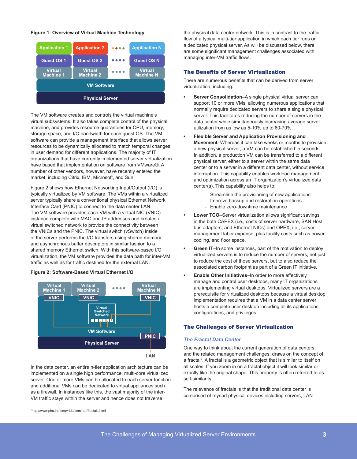# **Figure 1: Overview of Virtual Machine Technology**



The VM software creates and controls the virtual machine's virtual subsystems. It also takes complete control of the physical machine, and provides resource guarantees for CPU, memory, storage space, and I/O bandwidth for each guest OS. The VM software can provide a management interface that allows server resources to be dynamically allocated to match temporal changes in user demand for different applications. The majority of IT organizations that have currently implemented server virtualization have based that implementation on software from VMware®. A number of other vendors, however, have recently entered the market, including Citrix, IBM, Microsoft, and Sun.

Figure 2 shows how Ethernet Networking Input/Output (I/O) is typically virtualized by VM software. The VMs within a virtualized server typically share a conventional physical Ethernet Network Interface Card (PNIC) to connect to the data center LAN. The VM software provides each VM with a virtual NIC (VNIC) instance complete with MAC and IP addresses and creates a virtual switched network to provide the connectivity between the VNICs and the PNIC. The virtual switch (vSwitch) inside of the server performs the I/O transfers using shared memory and asynchronous buffer descriptors in similar fashion to a shared memory Ethernet switch. With this software-based I/O virtualization, the VM software provides the data path for inter-VM traffic as well as for traffic destined for the external LAN.

## **Figure 2: Software-Based Virtual Ethernet I/O**



In the data center, an entire n-tier application architecture can be implemented on a single high performance, multi-core virtualized server. One or more VMs can be allocated to each server function and additional VMs can be dedicated to virtual appliances such as a firewall. In instances like this, the vast majority of the inter-VM traffic stays within the server and hence does not traverse

the physical data center network. This is in contrast to the traffic flow of a typical multi-tier application in which each tier runs on a dedicated physical server. As will be discussed below, there are some significant management challenges associated with managing inter-VM traffic flows.

# The Benefits of Server Virtualization

There are numerous benefits that can be derived from server virtualization, including:

- **• Server Consolidation**–A single physical virtual server can support 10 or more VMs, allowing numerous applications that normally require dedicated servers to share a single physical server. This facilitates reducing the number of servers in the data center while simultaneously increasing average server utilization from as low as 5-10% up to 60-70%.
- **• Flexible Server and Application Provisioning and Movement**–Whereas it can take weeks or months to provision a new physical server, a VM can be established in seconds. In addition, a production VM can be transferred to a different physical server, either to a server within the same data center or to a server in a different data center, without service interruption. This capability enables workload management and optimization across an IT organization's virtualized data center(s). This capability also helps to:
	- Streamline the provisioning of new applications
	- Improve backup and restoration operations
	- Enable zero-downtime maintenance
- **• Lower TCO**–Server virtualization allows significant savings in the both CAPEX (i.e., costs of server hardware, SAN Host bus adapters, and Ethernet NICs) and OPEX; i.e., server management labor expense, plus facility costs such as power, cooling, and floor space.
- **• Green IT**–In some instances, part of the motivation to deploy virtualized servers is to reduce the number of servers, not just to reduce the cost of those servers, but to also reduce the associated carbon footprint as part of a Green IT initiative.
- **• Enable Other Initiatives**–In order to more effectively manage and control user desktops, many IT organizations are implementing virtual desktops. Virtualized servers are a prerequisite for virtualized desktops because a virtual desktop implementation requires that a VM in a data center server hosts a complete user desktop including all its applications, configurations, and privileges.

# The Challenges of Server Virtualization

#### *The Fractal Data Center*

One way to think about the current generation of data centers, and the related management challenges, draws on the concept of a fractal<sup>2</sup>. A fractal is a geometric object that is similar to itself on all scales. If you zoom in on a fractal object it will look similar or exactly like the original shape. This property is often referred to as self-similarity.

The relevance of fractals is that the traditional data center is comprised of myriad physical devices including servers, LAN

2 http://www.pha.jhu.edu/~ldb/seminar/fractals.html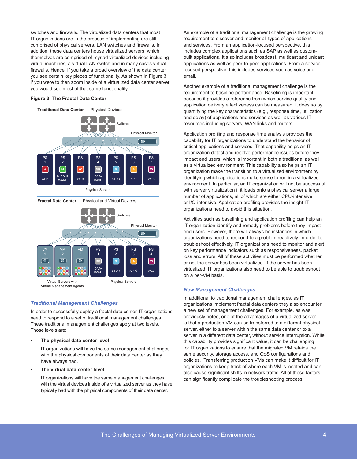switches and firewalls. The virtualized data centers that most IT organizations are in the process of implementing are still comprised of physical servers, LAN switches and firewalls. In addition, these data centers house virtualized servers, which themselves are comprised of myriad virtualized devices including virtual machines, a virtual LAN switch and in many cases virtual firewalls. Hence, if you take a broad overview of the data center you see certain key pieces of functionality. As shown in Figure 3, if you were to then zoom inside of a virtualized data center server you would see most of that same functionality.

#### **Figure 3: The Fractal Data Center**

#### **Traditional Data Center** — Physical Devices



**Fractal Data Center** — Physical and Virtual Devices



*Traditional Management Challenges*

In order to successfully deploy a fractal data center, IT organizations need to respond to a set of traditional management challenges. These traditional management challenges apply at two levels. Those levels are:

#### **• The physical data center level**

IT organizations will have the same management challenges with the physical components of their data center as they have always had.

#### **• The virtual data center level**

IT organizations will have the same management challenges with the virtual devices inside of a virtualized server as they have typically had with the physical components of their data center.

An example of a traditional management challenge is the growing requirement to discover and monitor all types of applications and services. From an application-focused perspective, this includes complex applications such as SAP as well as custombuilt applications. It also includes broadcast, multicast and unicast applications as well as peer-to-peer applications. From a servicefocused perspective, this includes services such as voice and email.

Another example of a traditional management challenge is the requirement to baseline performance. Baselining is important because it provides a reference from which service quality and application delivery effectiveness can be measured. It does so by quantifying the key characteristics (e.g., response time, utilization and delay) of applications and services as well as various IT resources including servers, WAN links and routers.

Application profiling and response time analysis provides the capability for IT organizations to understand the behavior of critical applications and services. That capability helps an IT organization detect and resolve performance issues before they impact end users, which is important in both a traditional as well as a virtualized environment. This capability also helps an IT organization make the transition to a virtualized environment by identifying which applications make sense to run in a virtualized environment. In particular, an IT organization will not be successful with server virtualization if it loads onto a physical server a large number of applications, all of which are either CPU-intensive or I/O-intensive. Application profiling provides the insight IT organizations need to avoid this situation.

Activities such as baselining and application profiling can help an IT organization identify and remedy problems before they impact end users. However, there will always be instances in which IT organizations need to respond to a problem reactively. In order to troubleshoot effectively, IT organizations need to monitor and alert on key performance indicators such as responsiveness, packet loss and errors. All of these activities must be performed whether or not the server has been virtualized. If the server has been virtualized, IT organizations also need to be able to troubleshoot on a per-VM basis.

# *New Management Challenges*

In additional to traditional management challenges, as IT organizations implement fractal data centers they also encounter a new set of management challenges. For example, as was previously noted, one of the advantages of a virtualized server is that a production VM can be transferred to a different physical server, either to a server within the same data center or to a server in a different data center, without service interruption. While this capability provides significant value, it can be challenging for IT organizations to ensure that the migrated VM retains the same security, storage access, and QoS configurations and policies. Transferring production VMs can make it difficult for IT organizations to keep track of where each VM is located and can also cause significant shifts in network traffic. All of these factors can significantly complicate the troubleshooting process.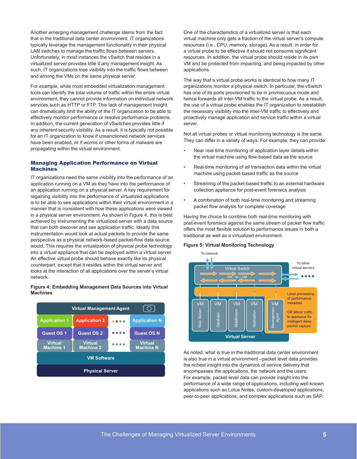Another emerging management challenge stems from the fact that in the traditional data center environment, IT organizations typically leverage the management functionality in their physical LAN switches to manage the traffic flows between servers. Unfortunately, in most instances the vSwitch that resides in a virtualized server provides little if any management insight. As such, IT organizations lose visibility into the traffic flows between and among the VMs on the same physical server.

For example, while most embedded virtualization management tools can identify the total volume of traffic within the entire virtual environment, they cannot provide information on individual network services such as HTTP or FTP. This lack of management insight can dramatically limit the ability of the IT organization to be able to effectively monitor performance or resolve performance problems. In addition, the current generation of vSwitches provides little if any inherent security visibility. As a result, it is typically not possible for an IT organization to know if unsanctioned network services have been enabled, or if worms or other forms of malware are propagating within the virtual environment.

# Managing Application Performance on Virtual Machines

IT organizations need the same visibility into the performance of an application running on a VM as they have into the performance of an application running on a physical server. A key requirement for regaining visibility into the performance of virtualized applications is to be able to see applications within their virtual environment in a manner that is consistent with how these applications were viewed in a physical server environment. As shown in Figure 4, this is best achieved by instrumenting the virtualized server with a data source that can both discover and see application traffic. Ideally this instrumentation would look at actual packets to provide the same perspective as a physical network-based packet-flow data source would. This requires the virtualization of physical probe technology into a virtual appliance that can be deployed within a virtual server. An effective virtual probe should behave exactly like its physical counterpart, except that it resides within the virtual server and looks at the interaction of all applications over the server's virtual network.

# **Figure 4: Embedding Management Data Sources into Virtual Machines**



One of the characteristics of a virtualized server is that each virtual machine only gets a fraction of the virtual server's compute resources (i.e., CPU, memory, storage). As a result, in order for a virtual probe to be effective it should not consume significant resources. In addition, the virtual probe should reside in its own VM and be protected from impacting, and being impacted by other applications.

The way that a virtual probe works is identical to how many IT organizations monitor a physical switch. In particular, the vSwitch has one of its ports provisioned to be in promiscuous mode and hence forwards all inter-VM traffic to the virtual probe. As a result, the use of a virtual probe enables the IT organization to reestablish the necessary visibility into the inter-VM traffic to effectively and proactively manage application and service traffic within a virtual server.

Not all virtual probes or virtual monitoring technology is the same. They can differ in a variety of ways. For example, they can provide:

- Near real-time monitoring of application layer details within the virtual machine using flow-based data as the source
- Real-time monitoring of all transaction data within the virtual machine using packet-based traffic as the source
- Streaming of the packet-based traffic to an external hardware collection appliance for post-event forensics analysis
- A combination of both real-time monitoring and streaming packet flow analysis for complete coverage

Having the choice to combine both real-time monitoring with post-event forensics against the same stream of packet flow traffic offers the most flexible solution to performance issues in both a traditional as well as a virtualized environment.

#### **Figure 5: Virtual Monitoring Technology**



As noted, what is true in the traditional data center environment is also true in a virtual environment –packet level data provides the richest insight into the dynamics of service delivery that encompasses the applications, the network and the users. For example, packet-level data can provide insight into the performance of a wide range of applications, including well-known applications such as Lotus Notes, custom-developed applications, peer-to-peer applications, and complex applications such as SAP,